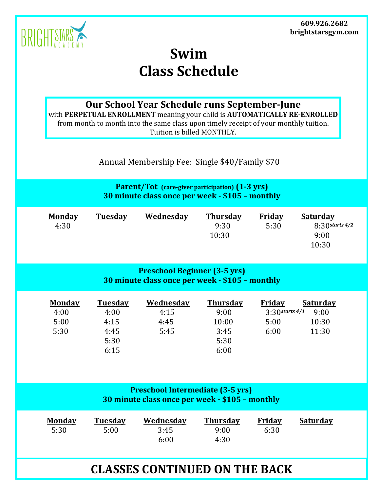**609.926.2682 brightstarsgym.com**



## **Swim Class Schedule**

**Our School Year Schedule runs September-June**

with **PERPETUAL ENROLLMENT** meaning your child is **AUTOMATICALLY RE-ENROLLED** from month to month into the same class upon timely receipt of your monthly tuition. Tuition is billed MONTHLY.

Annual Membership Fee: Single \$40/Family \$70

**Parent/Tot (care-giver participation) (1-3 yrs) 30 minute class once per week - \$105 – monthly**

| <b>Monday</b> | Tuesday | Wednesday | <b>Thursday</b> | Friday | <b>Saturday</b>     |
|---------------|---------|-----------|-----------------|--------|---------------------|
| 4:30          |         |           | 9:30            | 5:30   | $8:30$ starts $4/2$ |
|               |         |           | 10:30           |        | 9:00                |
|               |         |           |                 |        | 10:30               |

## **Preschool Beginner (3-5 yrs) 30 minute class once per week - \$105 – monthly**

| <b>Monday</b> | <b>Tuesday</b> | <b>Wednesday</b> | <b>Thursday</b> | <b>Friday</b>         | <u>Saturday</u> |
|---------------|----------------|------------------|-----------------|-----------------------|-----------------|
| 4:00          | 4:00           | 4:15             | 9:00            | $3:3$ () starts $4/1$ | 9:00            |
| 5:00          | 4:15           | 4:45             | 10:00           | 5:00                  | 10:30           |
| 5:30          | 4:45           | 5:45             | 3:45            | 6:00                  | 11:30           |
|               | 5:30           |                  | 5:30            |                       |                 |
|               | 6:15           |                  | 6:00            |                       |                 |

| <b>Preschool Intermediate (3-5 yrs)</b><br>30 minute class once per week - \$105 - monthly |                        |                           |                                 |                       |                 |  |
|--------------------------------------------------------------------------------------------|------------------------|---------------------------|---------------------------------|-----------------------|-----------------|--|
| <b>Monday</b><br>5:30                                                                      | <b>Tuesday</b><br>5:00 | Wednesday<br>3:45<br>6:00 | <b>Thursday</b><br>9:00<br>4:30 | <b>Friday</b><br>6:30 | <b>Saturday</b> |  |
| <b>CLASSES CONTINUED ON THE BACK</b>                                                       |                        |                           |                                 |                       |                 |  |